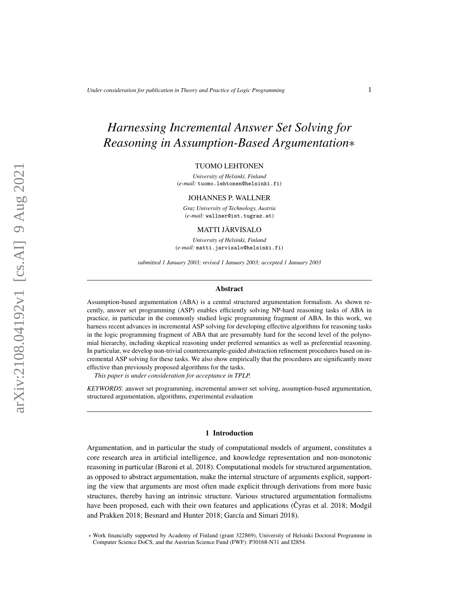# *Harnessing Incremental Answer Set Solving for Reasoning in Assumption-Based Argumentation*∗

#### TUOMO LEHTONEN

*University of Helsinki, Finland* (*e-mail:* tuomo.lehtonen@helsinki.fi)

#### JOHANNES P. WALLNER

*Graz University of Technology, Austria* (*e-mail:* wallner@ist.tugraz.at)

## MATTI JÄRVISALO

*University of Helsinki, Finland* (*e-mail:* matti.jarvisalo@helsinki.fi)

*submitted 1 January 2003; revised 1 January 2003; accepted 1 January 2003*

#### Abstract

Assumption-based argumentation (ABA) is a central structured argumentation formalism. As shown recently, answer set programming (ASP) enables efficiently solving NP-hard reasoning tasks of ABA in practice, in particular in the commonly studied logic programming fragment of ABA. In this work, we harness recent advances in incremental ASP solving for developing effective algorithms for reasoning tasks in the logic programming fragment of ABA that are presumably hard for the second level of the polynomial hierarchy, including skeptical reasoning under preferred semantics as well as preferential reasoning. In particular, we develop non-trivial counterexample-guided abstraction refinement procedures based on incremental ASP solving for these tasks. We also show empirically that the procedures are significantly more effective than previously proposed algorithms for the tasks.

*This paper is under consideration for acceptance in TPLP.*

*KEYWORDS*: answer set programming, incremental answer set solving, assumption-based argumentation, structured argumentation, algorithms, experimental evaluation

#### 1 Introduction

Argumentation, and in particular the study of computational models of argument, constitutes a core research area in artificial intelligence, and knowledge representation and non-monotonic reasoning in particular [\(Baroni et al. 2018\)](#page-14-0). Computational models for structured argumentation, as opposed to abstract argumentation, make the internal structure of arguments explicit, supporting the view that arguments are most often made explicit through derivations from more basic structures, thereby having an intrinsic structure. Various structured argumentation formalisms have been proposed, each with their own features and applications [\(Cyras et al. 2018;](#page-15-0) [Modgil](#page-15-1) [and Prakken 2018;](#page-15-1) [Besnard and Hunter 2018;](#page-14-1) García and Simari 2018).

<sup>∗</sup> Work financially supported by Academy of Finland (grant 322869), University of Helsinki Doctoral Programme in Computer Science DoCS, and the Austrian Science Fund (FWF): P30168-N31 and I2854.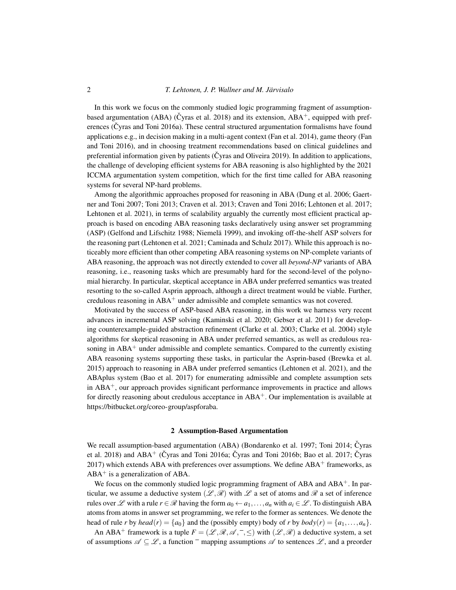In this work we focus on the commonly studied logic programming fragment of assumptionbased argumentation (ABA) ( $\check{C}$ yras et al. 2018) and its extension, ABA<sup>+</sup>, equipped with preferences ( $\check{C}$ yras and Toni 2016a). These central structured argumentation formalisms have found applications e.g., in decision making in a multi-agent context [\(Fan et al. 2014\)](#page-15-4), game theory [\(Fan](#page-15-5) [and Toni 2016\)](#page-15-5), and in choosing treatment recommendations based on clinical guidelines and preferential information given by patients ( $\check{C}$ yras and Oliveira 2019). In addition to applications, the challenge of developing efficient systems for ABA reasoning is also highlighted by the 2021 ICCMA argumentation system competition, which for the first time called for ABA reasoning systems for several NP-hard problems.

Among the algorithmic approaches proposed for reasoning in ABA [\(Dung et al. 2006;](#page-15-7) [Gaert](#page-15-8)[ner and Toni 2007;](#page-15-8) [Toni 2013;](#page-15-9) [Craven et al. 2013;](#page-15-10) [Craven and Toni 2016;](#page-14-2) [Lehtonen et al. 2017;](#page-15-11) [Lehtonen et al. 2021\)](#page-15-12), in terms of scalability arguably the currently most efficient practical approach is based on encoding ABA reasoning tasks declaratively using answer set programming (ASP) [\(Gelfond and Lifschitz 1988;](#page-15-13) Niemelä 1999), and invoking off-the-shelf ASP solvers for the reasoning part [\(Lehtonen et al. 2021;](#page-15-12) [Caminada and Schulz 2017\)](#page-14-3). While this approach is noticeably more efficient than other competing ABA reasoning systems on NP-complete variants of ABA reasoning, the approach was not directly extended to cover all *beyond-NP* variants of ABA reasoning, i.e., reasoning tasks which are presumably hard for the second-level of the polynomial hierarchy. In particular, skeptical acceptance in ABA under preferred semantics was treated resorting to the so-called Asprin approach, although a direct treatment would be viable. Further, credulous reasoning in  $ABA^+$  under admissible and complete semantics was not covered.

Motivated by the success of ASP-based ABA reasoning, in this work we harness very recent advances in incremental ASP solving [\(Kaminski et al. 2020;](#page-15-15) [Gebser et al. 2011\)](#page-15-16) for developing counterexample-guided abstraction refinement [\(Clarke et al. 2003;](#page-14-4) [Clarke et al. 2004\)](#page-14-5) style algorithms for skeptical reasoning in ABA under preferred semantics, as well as credulous reasoning in  $ABA^+$  under admissible and complete semantics. Compared to the currently existing ABA reasoning systems supporting these tasks, in particular the Asprin-based [\(Brewka et al.](#page-14-6) [2015\)](#page-14-6) approach to reasoning in ABA under preferred semantics [\(Lehtonen et al. 2021\)](#page-15-12), and the ABAplus system [\(Bao et al. 2017\)](#page-14-7) for enumerating admissible and complete assumption sets in  $ABA<sup>+</sup>$ , our approach provides significant performance improvements in practice and allows for directly reasoning about credulous acceptance in ABA<sup>+</sup>. Our implementation is available at [https://bitbucket.org/coreo-group/aspforaba.](https://bitbucket.org/coreo-group/aspforaba)

### 2 Assumption-Based Argumentation

We recall assumption-based argumentation (ABA) [\(Bondarenko et al. 1997;](#page-14-8) [Toni 2014;](#page-15-17) Čyras [et al. 2018\)](#page-15-0) and ABA<sup>+</sup> (Čyras and Toni 2016a; Čyras and Toni 2016b; [Bao et al. 2017;](#page-14-7) Čyras [2017\)](#page-15-19) which extends ABA with preferences over assumptions. We define  $ABA^+$  frameworks, as  $ABA^+$  is a generalization of ABA.

We focus on the commonly studied logic programming fragment of  $ABA$  and  $ABA^+$ . In particular, we assume a deductive system  $(\mathcal{L}, \mathcal{R})$  with  $\mathcal{L}$  a set of atoms and  $\mathcal{R}$  a set of inference rules over  $\mathscr L$  with a rule  $r \in \mathscr R$  having the form  $a_0 \leftarrow a_1, \ldots, a_n$  with  $a_i \in \mathscr L$ . To distinguish ABA atoms from atoms in answer set programming, we refer to the former as sentences. We denote the head of rule *r* by *head*(*r*) = { $a_0$ } and the (possibly empty) body of *r* by *body*(*r*) = { $a_1, \ldots, a_n$  }.

An ABA<sup>+</sup> framework is a tuple  $F = (\mathcal{L}, \mathcal{R}, \mathcal{A}, ^-, \leq)$  with  $(\mathcal{L}, \mathcal{R})$  a deductive system, a set of assumptions  $\mathscr{A} \subseteq \mathscr{L}$ , a function  $\overline{\phantom{a}}$  mapping assumptions  $\mathscr{A}$  to sentences  $\mathscr{L}$ , and a preorder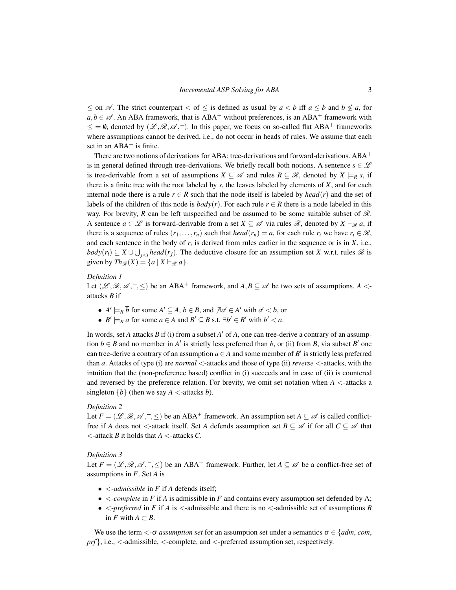$\leq$  on  $\mathscr A$ . The strict counterpart  $\leq$  of  $\leq$  is defined as usual by  $a \leq b$  iff  $a \leq b$  and  $b \not\leq a$ , for  $a, b \in \mathscr{A}$ . An ABA framework, that is ABA<sup>+</sup> without preferences, is an ABA<sup>+</sup> framework with  $\leq$  = 0, denoted by  $(\mathcal{L}, \mathcal{R}, \mathcal{A},^{-})$ . In this paper, we focus on so-called flat ABA<sup>+</sup> frameworks where assumptions cannot be derived, i.e., do not occur in heads of rules. We assume that each set in an  $ABA^+$  is finite.

There are two notions of derivations for ABA: tree-derivations and forward-derivations. ABA<sup>+</sup> is in general defined through tree-derivations. We briefly recall both notions. A sentence  $s \in \mathscr{L}$ is tree-derivable from a set of assumptions  $X \subseteq \mathcal{A}$  and rules  $R \subseteq \mathcal{R}$ , denoted by  $X \models_R s$ , if there is a finite tree with the root labeled by *s*, the leaves labeled by elements of *X*, and for each internal node there is a rule  $r \in R$  such that the node itself is labeled by *head*(*r*) and the set of labels of the children of this node is  $body(r)$ . For each rule  $r \in R$  there is a node labeled in this way. For brevity, *R* can be left unspecified and be assumed to be some suitable subset of  $\mathcal{R}$ . A sentence  $a \in \mathcal{L}$  is forward-derivable from a set  $X \subseteq \mathcal{A}$  via rules  $\mathcal{R}$ , denoted by  $X \vdash_{\mathcal{R}} a$ , if there is a sequence of rules  $(r_1,...,r_n)$  such that  $head(r_n) = a$ , for each rule  $r_i$  we have  $r_i \in \mathcal{R}$ , and each sentence in the body of  $r_i$  is derived from rules earlier in the sequence or is in  $X$ , i.e., *body*( $r_i$ ) ⊆ *X* ∪ ∪<sub>*j*<*i*</sub> *head*( $r_j$ ). The deductive closure for an assumption set *X* w.r.t. rules  $\Re$  is given by  $Th_{\mathscr{R}}(X) = \{a \mid X \vdash_{\mathscr{R}} a\}.$ 

## *Definition 1*

Let  $(\mathcal{L}, \mathcal{R}, \mathcal{A}, -\leq)$  be an ABA<sup>+</sup> framework, and  $A, B \subseteq \mathcal{A}$  be two sets of assumptions. *A* <attacks *B* if

- $A' \models_R \overline{b}$  for some  $A' \subseteq A, b \in B$ , and  $\overline{A}a' \in A'$  with  $a' < b$ , or
- $B' \models_R \overline{a}$  for some  $a \in A$  and  $B' \subseteq B$  s.t.  $\exists b' \in B'$  with  $b' < a$ .

In words, set *A* attacks *B* if (i) from a subset  $A'$  of  $A$ , one can tree-derive a contrary of an assumption  $b \in B$  and no member in *A*<sup> $\prime$ </sup> is strictly less preferred than *b*, or (ii) from *B*, via subset *B*<sup> $\prime$ </sup> one can tree-derive a contrary of an assumption  $a \in A$  and some member of  $B'$  is strictly less preferred than *a*. Attacks of type (i) are *normal* <-attacks and those of type (ii) *reverse* <-attacks, with the intuition that the (non-preference based) conflict in (i) succeeds and in case of (ii) is countered and reversed by the preference relation. For brevity, we omit set notation when *A* <-attacks a singleton  ${b}$  (then we say *A* <-attacks *b*).

#### *Definition 2*

Let  $F = (\mathcal{L}, \mathcal{R}, \mathcal{A}, -\leq)$  be an ABA<sup>+</sup> framework. An assumption set  $A \subseteq \mathcal{A}$  is called conflictfree if *A* does not <-attack itself. Set *A* defends assumption set  $B \subseteq \mathcal{A}$  if for all  $C \subseteq \mathcal{A}$  that <-attack *B* it holds that *A* <-attacks *C*.

#### *Definition 3*

Let  $F = (\mathcal{L}, \mathcal{R}, \mathcal{A}, \bar{\cdot}, \leq)$  be an ABA<sup>+</sup> framework. Further, let  $A \subseteq \mathcal{A}$  be a conflict-free set of assumptions in *F*. Set *A* is

- <-*admissible* in *F* if *A* defends itself;
- $\bullet$  <*-complete* in *F* if *A* is admissible in *F* and contains every assumption set defended by A;
- $\leq$ -*preferred* in *F* if *A* is  $\leq$ -admissible and there is no  $\leq$ -admissible set of assumptions *B* in *F* with *A* ⊂ *B*.

We use the term  $\lt$ - $\sigma$  *assumption set* for an assumption set under a semantics  $\sigma \in \{adm, com, \}$ *prf* }, i.e., <-admissible, <-complete, and <-preferred assumption set, respectively.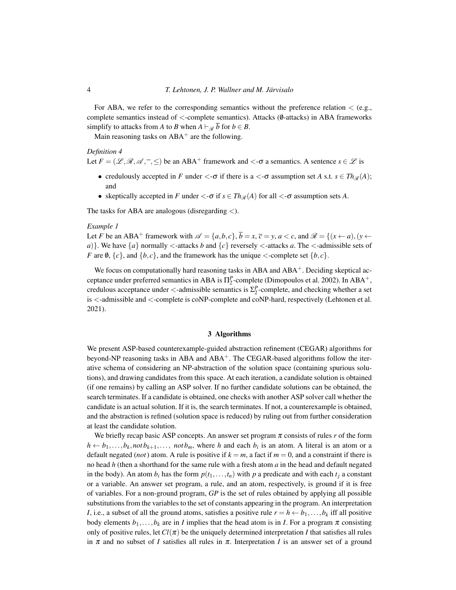For ABA, we refer to the corresponding semantics without the preference relation  $\langle$  (e.g., complete semantics instead of <-complete semantics). Attacks (0-attacks) in ABA frameworks simplify to attacks from *A* to *B* when  $A \vdash_{\mathcal{R}} \overline{b}$  for  $b \in B$ .

Main reasoning tasks on  $ABA^+$  are the following.

## *Definition 4*

Let *F* = (L ,R,A , ,≤) be an ABA<sup>+</sup> framework and <-σ a semantics. A sentence *s* ∈ L is

- credulously accepted in *F* under  $\langle -\sigma \rangle$  if there is a  $\langle -\sigma \rangle$  assumption set *A* s.t.  $s \in Th_{\mathcal{R}}(A)$ ; and
- skeptically accepted in *F* under  $\langle -\sigma \text{ if } s \in Th_{\mathcal{R}}(A) \text{ for all } \langle -\sigma \text{ assumption sets } A.$

The tasks for ABA are analogous (disregarding <).

## *Example 1*

Let *F* be an ABA<sup>+</sup> framework with  $\mathscr{A} = \{a, b, c\}$ ,  $\overline{b} = x$ ,  $\overline{c} = y$ ,  $a < c$ , and  $\mathscr{R} = \{(x \leftarrow a), (y \leftarrow a)\}$ *a*)}. We have  $\{a\}$  normally  $\lt$ -attacks *b* and  $\{c\}$  reversely  $\lt$ -attacks *a*. The  $\lt$ -admissible sets of *F* are 0,  $\{c\}$ , and  $\{b, c\}$ , and the framework has the unique  $\leq$ -complete set  $\{b, c\}$ .

We focus on computationally hard reasoning tasks in ABA and ABA<sup>+</sup>. Deciding skeptical acceptance under preferred semantics in ABA is  $\Pi_2^P$ -complete [\(Dimopoulos et al. 2002\)](#page-15-20). In ABA<sup>+</sup>, credulous acceptance under  $\lt$ -admissible semantics is  $\Sigma_2^P$ -complete, and checking whether a set is <-admissible and <-complete is coNP-complete and coNP-hard, respectively [\(Lehtonen et al.](#page-15-12) [2021\)](#page-15-12).

## 3 Algorithms

We present ASP-based counterexample-guided abstraction refinement (CEGAR) algorithms for beyond-NP reasoning tasks in ABA and  $ABA<sup>+</sup>$ . The CEGAR-based algorithms follow the iterative schema of considering an NP-abstraction of the solution space (containing spurious solutions), and drawing candidates from this space. At each iteration, a candidate solution is obtained (if one remains) by calling an ASP solver. If no further candidate solutions can be obtained, the search terminates. If a candidate is obtained, one checks with another ASP solver call whether the candidate is an actual solution. If it is, the search terminates. If not, a counterexample is obtained, and the abstraction is refined (solution space is reduced) by ruling out from further consideration at least the candidate solution.

We briefly recap basic ASP concepts. An answer set program  $\pi$  consists of rules  $r$  of the form  $h \leftarrow b_1, \ldots, b_k, not \, b_{k+1}, \ldots, \, not \, b_m$ , where *h* and each  $b_i$  is an atom. A literal is an atom or a default negated (*not*) atom. A rule is positive if  $k = m$ , a fact if  $m = 0$ , and a constraint if there is no head *h* (then a shorthand for the same rule with a fresh atom *a* in the head and default negated in the body). An atom  $b_i$  has the form  $p(t_1, \ldots, t_n)$  with  $p$  a predicate and with each  $t_i$  a constant or a variable. An answer set program, a rule, and an atom, respectively, is ground if it is free of variables. For a non-ground program, *GP* is the set of rules obtained by applying all possible substitutions from the variables to the set of constants appearing in the program. An interpretation *I*, i.e., a subset of all the ground atoms, satisfies a positive rule  $r = h \leftarrow b_1, \ldots, b_k$  iff all positive body elements  $b_1, \ldots, b_k$  are in *I* implies that the head atom is in *I*. For a program  $\pi$  consisting only of positive rules, let  $Cl(\pi)$  be the uniquely determined interpretation *I* that satisfies all rules in  $\pi$  and no subset of *I* satisfies all rules in  $\pi$ . Interpretation *I* is an answer set of a ground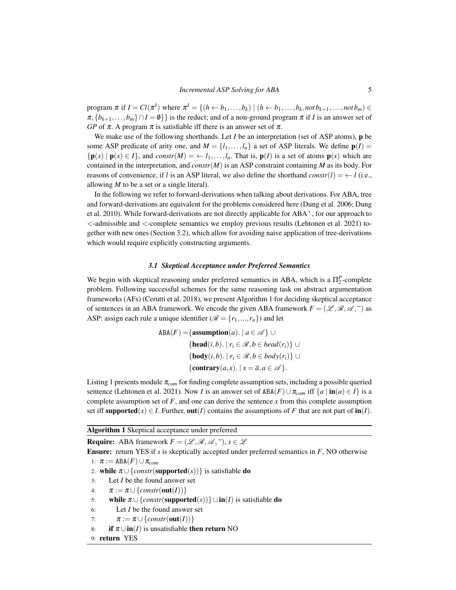$\text{program } \pi \text{ if } I = Cl(\pi^I) \text{ where } \pi^I = \{(h \leftarrow b_1, \ldots, b_k) \mid (h \leftarrow b_1, \ldots, b_k, \text{not } b_{k+1}, \ldots, \text{not } b_m) \in \mathbb{C}$  $\pi$ ,  $\{b_{k+1},...,b_m\} \cap I = \emptyset\}$  is the reduct; and of a non-ground program  $\pi$  if *I* is an answer set of *GP* of  $\pi$ . A program  $\pi$  is satisfiable iff there is an answer set of  $\pi$ .

We make use of the following shorthands. Let *I* be an interpretation (set of ASP atoms), **p** be some ASP predicate of arity one, and  $M = \{l_1, \ldots, l_n\}$  a set of ASP literals. We define  $p(I)$  ${\bf p}(x) | {\bf p}(x) \in I$ , and *constr*(*M*) =  $\leftarrow$  *l*<sub>1</sub>,...,*l<sub>n</sub>*. That is, **p**(*I*) is a set of atoms **p**(*x*) which are contained in the interpretation, and *constr*(*M*) is an ASP constraint containing *M* as its body. For reasons of convenience, if *l* is an ASP literal, we also define the shorthand *constr*(*l*) = ← *l* (i.e., allowing *M* to be a set or a single literal).

In the following we refer to forward-derivations when talking about derivations. For ABA, tree and forward-derivations are equivalent for the problems considered here [\(Dung et al. 2006;](#page-15-7) [Dung](#page-15-21) [et al. 2010\)](#page-15-21). While forward-derivations are not directly applicable for  $ABA^+$ , for our approach to <-admissible and <-complete semantics we employ previous results [\(Lehtonen et al. 2021\)](#page-15-12) together with new ones (Section [3.2\)](#page-6-0), which allow for avoiding naive application of tree-derivations which would require explicitly constructing arguments.

## *3.1 Skeptical Acceptance under Preferred Semantics*

We begin with skeptical reasoning under preferred semantics in ABA, which is a  $\Pi_2^P$ -complete problem. Following successful schemes for the same reasoning task on abstract argumentation frameworks (AFs) [\(Cerutti et al. 2018\)](#page-14-9), we present Algorithm [1](#page-4-0) for deciding skeptical acceptance of sentences in an ABA framework. We encode the given ABA framework  $F = (\mathcal{L}, \mathcal{R}, \mathcal{A}, \bar{\mathcal{A}})$  as ASP: assign each rule a unique identifier ( $\mathcal{R} = \{r_1, ..., r_n\}$ ) and let

$$
ABA(F) = \{ \text{assumption}(a). \mid a \in \mathcal{A} \} \cup
$$
\n
$$
\{ \text{head}(i, b). \mid r_i \in \mathcal{R}, b \in head(r_i) \} \cup
$$
\n
$$
\{ \text{body}(i, b). \mid r_i \in \mathcal{R}, b \in body(r_i) \} \cup
$$
\n
$$
\{ \text{contrary}(a, x). \mid x = \overline{a}, a \in \mathcal{A} \}.
$$

Listing [1](#page-5-0) presents module π*com* for finding complete assumption sets, including a possible queried sentence [\(Lehtonen et al. 2021\)](#page-15-12). Now *I* is an answer set of  $ABA(F) \cup \pi_{com}$  iff  $\{a \mid \textbf{in}(a) \in I\}$  is a complete assumption set of  $F$ , and one can derive the sentence  $x$  from this complete assumption set iff supported( $x$ )  $\in$  *I*. Further, out(*I*) contains the assumptions of *F* that are not part of  $\text{in}(I)$ .

#### <span id="page-4-0"></span>Algorithm 1 Skeptical acceptance under preferred

**Require:** ABA framework  $F = (\mathcal{L}, \mathcal{R}, \mathcal{A}, ^-), s \in \mathcal{L}$ 

Ensure: return YES if *s* is skeptically accepted under preferred semantics in *F*, NO otherwise 1:  $\pi := \text{ABA}(F) \cup \pi_{com}$ 

- <span id="page-4-1"></span>2: **while**  $\pi \cup \{constr(\text{supported}(s))\}$  is satisfiable **do**
- <span id="page-4-2"></span>3: Let *I* be the found answer set
- 4:  $\pi := \pi \cup \{constr(\textbf{out}(I))\}$
- 5: while  $\pi \cup \{constr(\text{supported}(s))\} \cup \text{in}(I)$  is satisfiable do
- 6: Let *I* be the found answer set

<span id="page-4-3"></span>7:  $\pi := \pi \cup \{constr(\textbf{out}(I))\}$ 

- 8: **if**  $\pi \cup \text{in}(I)$  is unsatisfiable **then return** NO
- 9: return YES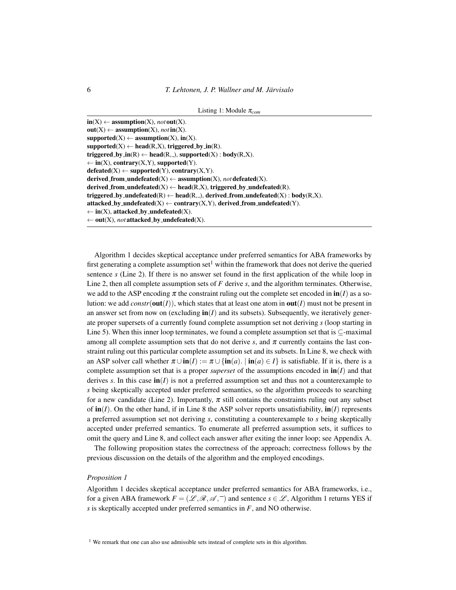```
Listing 1: Module πcom
```

```
in(X) \leftarrow assumption(X), not out(X).
out(X) \leftarrow assumption(X), not in(X).supported(X) \leftarrow assumption(X), in(X).supported(X) \leftarrow head(R,X), triggered_by_in(R).triggered_by_in(R) \leftarrow head(R, ...), supported(X): body(R, X).
\leftarrow in(X), contrary(X,Y), supported(Y).
\mathbf{defeated}(X) \leftarrow \mathbf{supported}(Y), \mathbf{contrary}(X, Y).derived_from_undefeated(X) \leftarrow assumption(X), not defeated(X).
derived from undefeated(X) \leftarrow \text{head}(R, X), triggered by undefeated(R).
triggered_by_undefeated(R) \leftarrow head(R, _), derived_from_undefeated(X) : body(R,X).
attacked_by_undefeated(X) \leftarrow contrary(X,Y), derived_from_undefeated(Y).
\leftarrow in(X), attacked_by_undefeated(X).
\leftarrow out(X), not attacked_by_undefeated(X).
```
Algorithm [1](#page-4-0) decides skeptical acceptance under preferred semantics for ABA frameworks by first generating a complete assumption set<sup>[1](#page-5-1)</sup> within the framework that does not derive the queried sentence *s* (Line [2\)](#page-4-1). If there is no answer set found in the first application of the while loop in Line [2,](#page-4-1) then all complete assumption sets of *F* derive *s*, and the algorithm terminates. Otherwise, we add to the ASP encoding  $\pi$  the constraint ruling out the complete set encoded in  $\text{in}(I)$  as a solution: we add  $constr(\text{out}(I))$ , which states that at least one atom in  $\text{out}(I)$  must not be present in an answer set from now on (excluding  $\mathbf{in}(I)$ ) and its subsets). Subsequently, we iteratively generate proper supersets of a currently found complete assumption set not deriving *s* (loop starting in Line [5\)](#page-4-2). When this inner loop terminates, we found a complete assumption set that is  $\subset$ -maximal among all complete assumption sets that do not derive *s*, and  $\pi$  currently contains the last constraint ruling out this particular complete assumption set and its subsets. In Line [8,](#page-4-3) we check with an ASP solver call whether  $\pi \cup \text{in}(I) := \pi \cup \{ \text{in}(a) \mid \text{in}(a) \in I \}$  is satisfiable. If it is, there is a complete assumption set that is a proper *superset* of the assumptions encoded in  $\textbf{in}(I)$  and that derives *s*. In this case  $\text{in}(I)$  is not a preferred assumption set and thus not a counterexample to *s* being skeptically accepted under preferred semantics, so the algorithm proceeds to searching for a new candidate (Line [2\)](#page-4-1). Importantly,  $\pi$  still contains the constraints ruling out any subset of  $\textbf{in}(I)$ . On the other hand, if in Line [8](#page-4-3) the ASP solver reports unsatisfiability,  $\textbf{in}(I)$  represents a preferred assumption set not deriving *s*, constituting a counterexample to *s* being skeptically accepted under preferred semantics. To enumerate all preferred assumption sets, it suffices to omit the query and Line 8, and collect each answer after exiting the inner loop; see [Appendix A.](#page-16-0)

The following proposition states the correctness of the approach; correctness follows by the previous discussion on the details of the algorithm and the employed encodings.

## *Proposition 1*

Algorithm [1](#page-4-0) decides skeptical acceptance under preferred semantics for ABA frameworks, i.e., for a given ABA framework  $F = (\mathcal{L}, \mathcal{R}, \mathcal{A}, \overline{\phantom{a}})$  and sentence  $s \in \mathcal{L}$ , Algorithm [1](#page-4-0) returns YES if *s* is skeptically accepted under preferred semantics in *F*, and NO otherwise.

<span id="page-5-1"></span><sup>1</sup> We remark that one can also use admissible sets instead of complete sets in this algorithm.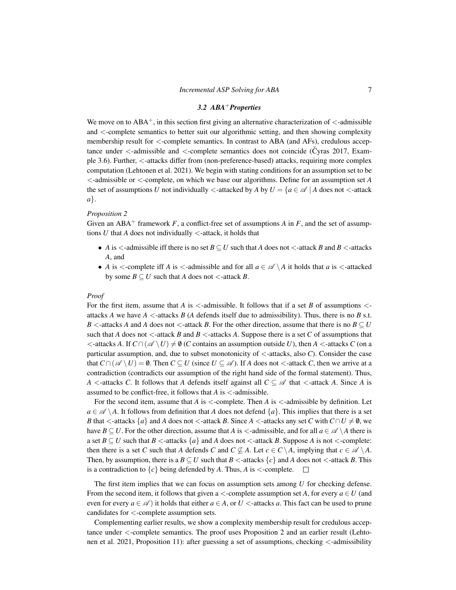#### *3.2 ABA*+*Properties*

<span id="page-6-0"></span>We move on to  $ABA^+$ , in this section first giving an alternative characterization of  $\lt$ -admissible and <-complete semantics to better suit our algorithmic setting, and then showing complexity membership result for <-complete semantics. In contrast to ABA (and AFs), credulous acceptance under  $\lt$ -admissible and  $\lt$ -complete semantics does not coincide [\(Cyras 2017,](#page-15-19) Example 3.6). Further, <-attacks differ from (non-preference-based) attacks, requiring more complex computation [\(Lehtonen et al. 2021\)](#page-15-12). We begin with stating conditions for an assumption set to be <-admissible or <-complete, on which we base our algorithms. Define for an assumption set *A* the set of assumptions *U* not individually  $\lt$ -attacked by *A* by  $U = \{a \in \mathcal{A} \mid A \text{ does not } \lt$ -attack *a*}.

#### <span id="page-6-1"></span>*Proposition 2*

Given an ABA<sup>+</sup> framework  $F$ , a conflict-free set of assumptions  $A$  in  $F$ , and the set of assumptions  $U$  that  $A$  does not individually  $\lt$ -attack, it holds that

- *A* is  $\le$ -admissible iff there is no set  $B \subseteq U$  such that *A* does not  $\le$ -attack *B* and *B*  $\le$ -attacks *A*, and
- *A* is  $\lt$ -complete iff *A* is  $\lt$ -admissible and for all  $a \in \mathcal{A} \setminus A$  it holds that *a* is  $\lt$ -attacked by some  $B \subseteq U$  such that *A* does not <-attack *B*.

#### *Proof*

For the first item, assume that  $A$  is  $\lt$ -admissible. It follows that if a set  $B$  of assumptions  $\lt$ attacks *A* we have  $A \leq$ -attacks *B* (*A* defends itself due to admissibility). Thus, there is no *B* s.t. *B* <-attacks *A* and *A* does not <-attack *B*. For the other direction, assume that there is no  $B \subseteq U$ such that *A* does not  $\lt$ -attack *B* and *B*  $\lt$ -attacks *A*. Suppose there is a set *C* of assumptions that  $\lt$ -attacks *A*. If  $C \cap (\mathscr{A} \setminus U) \neq \emptyset$  (*C* contains an assumption outside *U*), then *A*  $\lt$ -attacks *C* (on a particular assumption, and, due to subset monotonicity of <-attacks, also *C*). Consider the case that  $C \cap (\mathscr{A} \setminus U) = \emptyset$ . Then  $C \subseteq U$  (since  $U \subseteq \mathscr{A}$ ). If *A* does not <-attack *C*, then we arrive at a contradiction (contradicts our assumption of the right hand side of the formal statement). Thus, *A* <-attacks *C*. It follows that *A* defends itself against all  $C \subseteq \mathcal{A}$  that <-attack *A*. Since *A* is assumed to be conflict-free, it follows that  $A$  is  $\lt$ -admissible.

For the second item, assume that *A* is <-complete. Then *A* is <-admissible by definition. Let  $a \in \mathscr{A} \setminus A$ . It follows from definition that *A* does not defend  $\{a\}$ . This implies that there is a set *B* that  $\lt$ -attacks  $\{a\}$  and *A* does not  $\lt$ -attack *B*. Since *A*  $\lt$ -attacks any set *C* with  $C \cap U \neq \emptyset$ , we have *B* ⊆ *U*. For the other direction, assume that *A* is <-admissible, and for all  $a \in \mathcal{A} \setminus A$  there is a set  $B \subseteq U$  such that  $B \leq$ -attacks  $\{a\}$  and *A* does not  $\leq$ -attack *B*. Suppose *A* is not  $\leq$ -complete: then there is a set *C* such that *A* defends *C* and  $C \nsubseteq A$ . Let  $c \in C \setminus A$ , implying that  $c \in \mathscr{A} \setminus A$ . Then, by assumption, there is a  $B \subseteq U$  such that  $B \leq$ -attacks  $\{c\}$  and A does not  $\leq$ -attack B. This is a contradiction to  $\{c\}$  being defended by *A*. Thus, *A* is  $\lt$ -complete.  $\square$ 

The first item implies that we can focus on assumption sets among *U* for checking defense. From the second item, it follows that given a  $\lt$ -complete assumption set *A*, for every  $a \in U$  (and even for every  $a \in \mathcal{A}$  ) it holds that either  $a \in A$ , or  $U <$ -attacks  $a$ . This fact can be used to prune candidates for <-complete assumption sets.

Complementing earlier results, we show a complexity membership result for credulous acceptance under <-complete semantics. The proof uses Proposition [2](#page-6-1) and an earlier result [\(Lehto](#page-15-12)[nen et al. 2021,](#page-15-12) Proposition 11): after guessing a set of assumptions, checking <-admissibility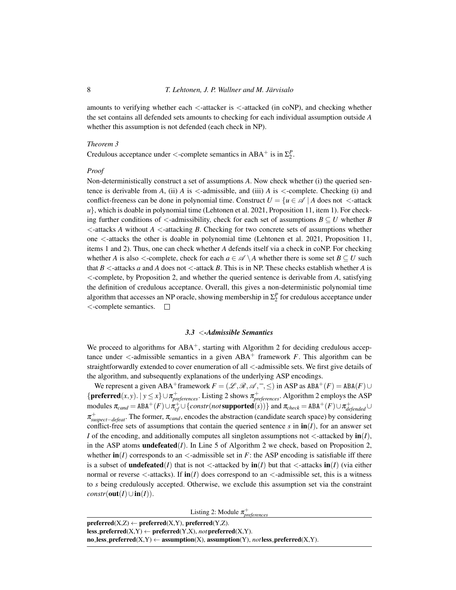amounts to verifying whether each  $\lt$ -attacker is  $\lt$ -attacked (in coNP), and checking whether the set contains all defended sets amounts to checking for each individual assumption outside *A* whether this assumption is not defended (each check in NP).

#### *Theorem 3*

Credulous acceptance under  $\langle$ -complete semantics in ABA<sup>+</sup> is in  $\Sigma_2^P$ .

## *Proof*

Non-deterministically construct a set of assumptions *A*. Now check whether (i) the queried sentence is derivable from *A*, (ii) *A* is  $\le$ -admissible, and (iii) *A* is  $\le$ -complete. Checking (i) and conflict-freeness can be done in polynomial time. Construct  $U = \{u \in \mathscr{A} \mid A \text{ does not } < \text{-attack}\}$  $u<sub>k</sub>$ , which is doable in polynomial time [\(Lehtonen et al. 2021,](#page-15-12) Proposition 11, item 1). For checking further conditions of  $\lt$ -admissibility, check for each set of assumptions  $B \subseteq U$  whether *B* <-attacks *A* without *A* <-attacking *B*. Checking for two concrete sets of assumptions whether one <-attacks the other is doable in polynomial time [\(Lehtonen et al. 2021,](#page-15-12) Proposition 11, items 1 and 2). Thus, one can check whether *A* defends itself via a check in coNP. For checking whether *A* is also <-complete, check for each  $a \in \mathcal{A} \setminus A$  whether there is some set  $B \subseteq U$  such that  $B \leq$ -attacks *a* and *A* does not  $\leq$ -attack *B*. This is in NP. These checks establish whether *A* is <-complete, by Proposition [2,](#page-6-1) and whether the queried sentence is derivable from *A*, satisfying the definition of credulous acceptance. Overall, this gives a non-deterministic polynomial time algorithm that accesses an NP oracle, showing membership in  $\Sigma_2^P$  for credulous acceptance under <-complete semantics.  $\Box$ 

# *3.3* <*-Admissible Semantics*

We proceed to algorithms for  $ABA^+$ , starting with Algorithm [2](#page-8-0) for deciding credulous acceptance under  $\leq$ -admissible semantics in a given ABA<sup>+</sup> framework *F*. This algorithm can be straightforwardly extended to cover enumeration of all <-admissible sets. We first give details of the algorithm, and subsequently explanations of the underlying ASP encodings.

We represent a given ABA<sup>+</sup>framework  $F = (L, \mathcal{R}, \mathcal{A}, \bar{A}, \bar{A})$  in ASP as  $ABA^+(F) = ABA(F) \cup$ {**preferred** $(x, y)$ .  $|y \le x$ }  $\cup \pi_{preferences}^+$ . Listing [2](#page-8-0) shows  $\pi_{preferences}^+$ . Algorithm 2 employs the ASP  $\text{modules } \pi_{cand} = \text{ABA}^+(F) \cup \pi_{cf}^+ \cup \{constr (not \text{ supported}(s))\}$  and  $\pi_{check} = \text{ABA}^+(F) \cup \pi_{defended}^+ \cup \pi_{cfended}^$ π + *suspect*−*defeat*. The former, π*cand*, encodes the abstraction (candidate search space) by considering conflict-free sets of assumptions that contain the queried sentence  $s$  in  $\text{in}(I)$ , for an answer set *I* of the encoding, and additionally computes all singleton assumptions not  $\lt$ -attacked by  $\text{in}(I)$ , in the ASP atoms **undefeated**( $I$ ). In Line [5](#page-8-1) of Algorithm [2](#page-8-0) we check, based on Proposition [2,](#page-6-1) whether  $\textbf{in}(I)$  corresponds to an  $\lt$ -admissible set in *F*: the ASP encoding is satisfiable iff there is a subset of **undefeated**(*I*) that is not <-attacked by  $\text{in}(I)$  but that <-attacks  $\text{in}(I)$  (via either normal or reverse  $\langle$ -attacks). If  $\text{in}(I)$  does correspond to an  $\langle$ -admissible set, this is a witness to *s* being credulously accepted. Otherwise, we exclude this assumption set via the constraint  $constr(\textbf{out}(I)\cup\textbf{in}(I)).$ 

Listing 2: Module π<sup>+</sup><sub>preferences</sub>

<span id="page-7-0"></span> $pref{erred}(X,Z) \leftarrow pref{erred}(X,Y)$ ,  $pref{erred}(Y,Z)$ .  $less\_prefferred(X,Y) \leftarrow preferved(Y,X), not preferred(X,Y).$ no less\_preferred(X,Y)  $\leftarrow$  assumption(X), assumption(Y), *not* less\_preferred(X,Y).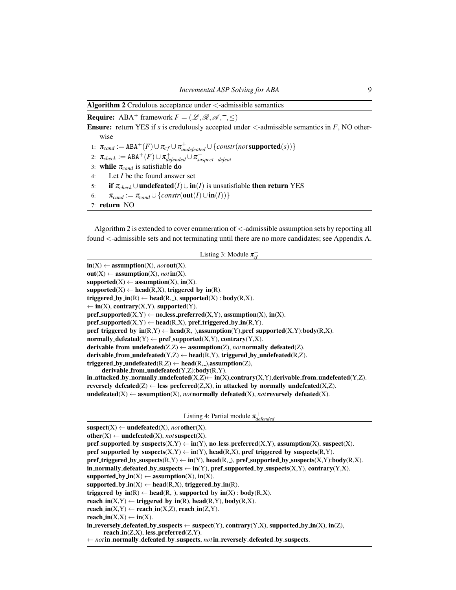<span id="page-8-0"></span>Algorithm 2 Credulous acceptance under  $\lt$ -admissible semantics

**Require:** ABA<sup>+</sup> framework  $F = (\mathcal{L}, \mathcal{R}, \mathcal{A}, ^-, <)$ 

Ensure: return YES if *s* is credulously accepted under  $\lt$ -admissible semantics in *F*, NO otherwise

- 1:  $\pi_{cand} := \text{ABA}^+(F) \cup \pi_{cf} \cup \pi_{undefined}^+ \cup \{constr (not \text{supported}(s))\}$
- 2:  $\pi_{check} := \text{ABA}^+(F) \cup \pi_{defineded}^+ \cup \pi_{suspect-defeat}^+$
- 3: while  $\pi_{cand}$  is satisfiable do
- 4: Let *I* be the found answer set
- 5: **if**  $\pi_{check} \cup$ **undefeated**(*I*)∪**in**(*I*) is unsatisfiable **then return** YES
- 6:  $\pi_{cand} := \pi_{cand} \cup \{constr(\textbf{out}(I) \cup \textbf{in}(I))\}$
- 7: return NO

Algorithm [2](#page-8-0) is extended to cover enumeration of <-admissible assumption sets by reporting all found <-admissible sets and not terminating until there are no more candidates; see [Appendix A.](#page-16-0)

```
Listing 3: Module \pi_{cf}^+
```
<span id="page-8-2"></span> $in(X) \leftarrow assumption(X)$ , *not* out(X).  $out(X) \leftarrow assumption(X), not in(X).$  $supported(X) \leftarrow assumption(X), in(X).$  $supported(X) \leftarrow head(R,X), triggered_by_in(R).$ triggered\_by\_in(R)  $\leftarrow$  head(R,\_), supported(X) : body(R,X).  $\leftarrow$  in(X), contrary(X,Y), supported(Y).  $pref\_supported(X,Y) \leftarrow no\_less\_preferred(X,Y),$  assumption(X), in(X).  $pref\_supported(X,Y) \leftarrow head(R,X), pref\_triggered_by_in(R,Y).$  $pref\_triggered\_by\_in(R,Y) \leftarrow head(R, ...)$ , assumption(Y), pref\_supported(X,Y):body(R,X).  $normally$   $\neg$  defeated(Y)  $\leftarrow$  pref\_supported(X,Y), contrary(Y,X). derivable\_from\_undefeated( $Z$ , $Z$ )  $\leftarrow$  assumption( $Z$ ), *not* normally\_defeated( $Z$ ). derivable from undefeated(Y,Z)  $\leftarrow$  head(R,Y), triggered by undefeated(R,Z). triggered\_by\_undefeated(R,Z)  $\leftarrow$  head(R,\_),assumption(Z), derivable from undefeated(Y,Z):body(R,Y). in attacked by normally undefeated(X,Z) $\leftarrow$  in(X), contrary(X,Y), derivable from undefeated(Y,Z). reversely\_defeated( $Z$ )  $\leftarrow$  less\_preferred( $Z$ , $X$ ), in attacked by normally undefeated( $X$ , $Z$ ).

 $undefated(X) \leftarrow assumption(X), not normally-defined(X), not reversedy.defeated(X).$ 

Listing 4: Partial module π + *defended*

```
suspect(X) \leftarrow undefeated(X), not other(X).other(X) \leftarrow undefined(X), not suspect(X).pref supported by suspects(X, Y) \leftarrow \text{in}(Y), no less preferred(X, Y), assumption(X), suspect(X).
pref supported by suspects(X,Y) \leftarrow in(Y), head(R,X), pref triggered by suspects(R,Y).
pref_triggered_by_suspects(R,Y) \leftarrow in(Y), head(R,_), pref_supported_by_suspects(X,Y):body(R,X).
in normally defeated by suspects \leftarrow in(Y), pref supported by suspects(X,Y), contrary(Y,X).
supported_by_in(X) \leftarrow assumption(X), in(X).
supported by_in(X) \leftarrow head(R,X), triggered by_in(R).
triggered_by_in(R) \leftarrow head(R,_), supported_by_in(X) : body(R,X).
reach \text{in}(X,Y) \leftarrow \text{triggered\_by\_in}(R), head(R,Y), body(R,X).
reach in(X,Y) \leftarrow reach_in(X,Z), reach in(Z,Y).
reach_in(X,X) \leftarrow in(X).
in reversely defeated by suspects \leftarrow suspect(Y), contrary(Y,X), supported by \text{in}(X), \text{in}(Z),
      reach_in(Z,X), less_preferred(Z,Y).
← notin normally defeated by suspects, notin reversely defeated by suspects.
```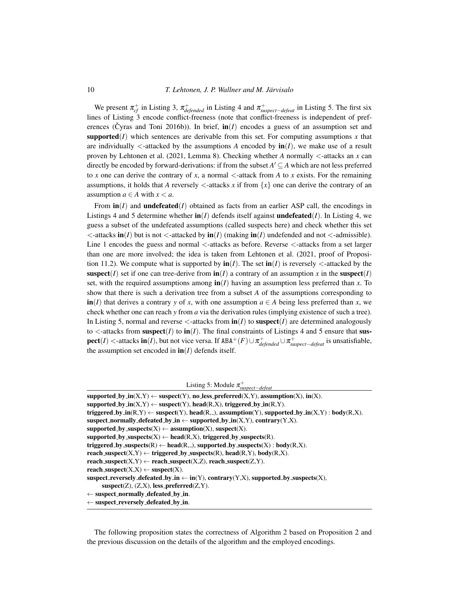We present  $\pi_{cf}^+$  in Listing [3,](#page-8-2)  $\pi_{defended}^+$  in Listing [4](#page-8-3) and  $\pi_{suspect-defeat}^+$  in Listing [5.](#page-9-0) The first six lines of Listing [3](#page-8-2) encode conflict-freeness (note that conflict-freeness is independent of pref-erences [\(Cyras and Toni 2016b\)](#page-15-18)). In brief,  $\mathbf{in}(I)$  encodes a guess of an assumption set and supported(*I*) which sentences are derivable from this set. For computing assumptions *x* that are individually  $\lt$ -attacked by the assumptions *A* encoded by  $\text{in}(I)$ , we make use of a result proven by [Lehtonen et al. \(2021,](#page-15-12) Lemma 8). Checking whether *A* normally <-attacks an *x* can directly be encoded by forward-derivations: if from the subset  $A' \subseteq A$  which are not less preferred to x one can derive the contrary of x, a normal  $\lt$ -attack from A to x exists. For the remaining assumptions, it holds that *A* reversely  $\lt$ -attacks *x* if from  $\{x\}$  one can derive the contrary of an assumption  $a \in A$  with  $x < a$ .

From  $\text{in}(I)$  and **undefeated**(*I*) obtained as facts from an earlier ASP call, the encodings in Listings [4](#page-8-3) and [5](#page-9-0) determine whether  $\mathbf{in}(I)$  defends itself against **undefeated**(*I*). In Listing [4,](#page-8-3) we guess a subset of the undefeated assumptions (called suspects here) and check whether this set  $\lt$ -attacks in(*I*) but is not  $\lt$ -attacked by in(*I*) (making in(*I*) undefended and not  $\lt$ -admissible). Line 1 encodes the guess and normal  $\lt$ -attacks as before. Reverse  $\lt$ -attacks from a set larger than one are more involved; the idea is taken from [Lehtonen et al. \(2021,](#page-15-12) proof of Proposition 11.2). We compute what is supported by  $\text{in}(I)$ . The set  $\text{in}(I)$  is reversely  $\lt$ -attacked by the suspect(*I*) set if one can tree-derive from  $\text{in}(I)$  a contrary of an assumption *x* in the suspect(*I*) set, with the required assumptions among  $\text{in}(I)$  having an assumption less preferred than *x*. To show that there is such a derivation tree from a subset *A* of the assumptions corresponding to  $\textbf{in}(I)$  that derives a contrary *y* of *x*, with one assumption  $a \in A$  being less preferred than *x*, we check whether one can reach *y* from *a* via the derivation rules (implying existence of such a tree). In Listing [5,](#page-9-0) normal and reverse  $\lt$ -attacks from  $\text{in}(I)$  to suspect $(I)$  are determined analogously to  $\lt$ -attacks from suspect(*I*) to in(*I*). The final constraints of Listings [4](#page-8-3) and [5](#page-9-0) ensure that sus- $\textbf{pect}(I)$  <-attacks  $\textbf{in}(I)$ , but not vice versa. If  $\text{ABA}^+(F) \cup \pi^+_{defended} \cup \pi^+_{suspect-defed}$  is unsatisfiable, the assumption set encoded in  $\text{in}(I)$  defends itself.

Listing 5: Module π + *suspect*−*defeat*

<span id="page-9-0"></span>

| supported_by_in(X,Y) $\leftarrow$ suspect(Y), no_less_preferred(X,Y), assumption(X), in(X).               |
|-----------------------------------------------------------------------------------------------------------|
| supported_by_in(X,Y) $\leftarrow$ suspect(Y), head(R,X), triggered_by_in(R,Y).                            |
| triggered_by_in(R,Y) $\leftarrow$ suspect(Y), head(R,_), assumption(Y), supported_by_in(X,Y) : body(R,X). |
| suspect_normally_defeated_by_in $\leftarrow$ supported_by_in(X,Y), contrary(Y,X).                         |
| supported_by_suspects(X) $\leftarrow$ assumption(X), suspect(X).                                          |
| supported_by_suspects(X) $\leftarrow$ head(R,X), triggered_by_suspects(R).                                |
| triggered_by_suspects(R) $\leftarrow$ head(R,_), supported_by_suspects(X) : body(R,X).                    |
| reach_suspect(X,Y) $\leftarrow$ triggered_by_suspects(R), head(R,Y), body(R,X).                           |
| reach_suspect(X,Y) $\leftarrow$ reach_suspect(X,Z), reach_suspect(Z,Y).                                   |
| reach_suspect( $X,X$ ) $\leftarrow$ suspect( $X$ ).                                                       |
| suspect_reversely_defeated_by_in $\leftarrow$ in(Y), contrary(Y,X), supported_by_suspects(X),             |
| $suspect(Z), (Z,X), less-preferred(Z,Y).$                                                                 |
| $\leftarrow$ suspect_normally_defeated_by_in.                                                             |
|                                                                                                           |

 $\leftarrow$  suspect\_reversely\_defeated\_by\_in.

The following proposition states the correctness of Algorithm [2](#page-8-0) based on Proposition [2](#page-6-1) and the previous discussion on the details of the algorithm and the employed encodings.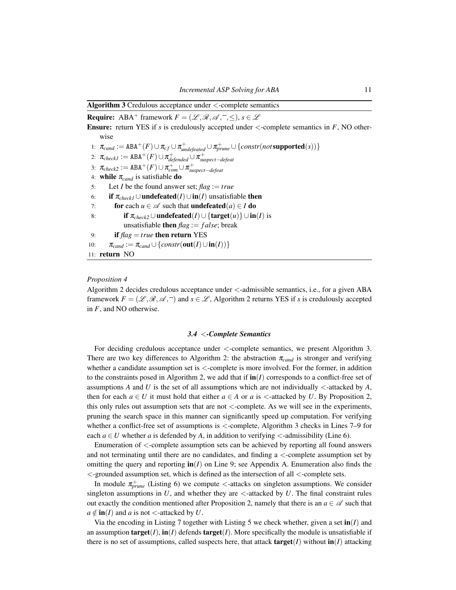<span id="page-10-0"></span>Algorithm 3 Credulous acceptance under <-complete semantics

**Require:** ABA<sup>+</sup> framework  $F = (\mathcal{L}, \mathcal{R}, \mathcal{A}, \overline{\phantom{a}}, \leq), s \in \mathcal{L}$ Ensure: return YES if *s* is credulously accepted under <-complete semantics in *F*, NO otherwise 1:  $\pi_{cand} := \text{ABA}^+(F) \cup \pi_{cf} \cup \pi_{undefined}^+ \cup \pi_{prune}^+ \cup \{constr (not \text{supported}(s))\}$ 2:  $\pi_{checkl} := \text{ABA}^+(F) \cup \pi_{defineded}^+ \cup \pi_{suspect-defeat}^+$ 3:  $\pi_{check2} := \text{ABA}^+(F) \cup \pi_{com}^+ \cup \pi_{suspect-defeat}^+$ 4: **while**  $\pi_{cand}$  is satisfiable **do** 5: Let *I* be the found answer set; *flag* := *true* 6: **if**  $\pi_{check}$  ∪**undefeated**(*I*)∪**in**(*I*) unsatisfiable then 7: **for** each  $u \in \mathcal{A}$  such that **undefeated** $(a) \in I$  **do** 8: **if**  $π<sub>check2</sub> ∪$ **undefeated**(*I*)∪{**target**(*u*)} ∪ **in**(*I*) is unsatisfiable **then**  $\text{flag} := \text{false}$ ; break 9: **if**  $flag = true$  **then return** YES 10:  $\pi_{cand} := \pi_{cand} \cup \{constr(\textbf{out}(I) \cup \textbf{in}(I))\}$ 11: return NO

## *Proposition 4*

Algorithm [2](#page-8-0) decides credulous acceptance under <-admissible semantics, i.e., for a given ABA framework  $F = (\mathcal{L}, \mathcal{R}, \mathcal{A}, \overline{\phantom{a}})$  and  $s \in \mathcal{L}$ , Algorithm [2](#page-8-0) returns YES if *s* is credulously accepted in *F*, and NO otherwise.

#### *3.4* <*-Complete Semantics*

For deciding credulous acceptance under <-complete semantics, we present Algorithm [3.](#page-10-0) There are two key differences to Algorithm [2:](#page-8-0) the abstraction π*cand* is stronger and verifying whether a candidate assumption set is <-complete is more involved. For the former, in addition to the constraints posed in Algorithm [2,](#page-8-0) we add that if  $\text{in}(I)$  corresponds to a conflict-free set of assumptions A and U is the set of all assumptions which are not individually  $\lt$ -attacked by A, then for each  $a \in U$  it must hold that either  $a \in A$  or  $a$  is  $\lt$ -attacked by  $U$ . By Proposition [2,](#page-6-1) this only rules out assumption sets that are not  $\lt$ -complete. As we will see in the experiments, pruning the search space in this manner can significantly speed up computation. For verifying whether a conflict-free set of assumptions is  $\lt$ -complete, Algorithm [3](#page-10-0) checks in Lines 7–9 for each  $a \in U$  whether *a* is defended by *A*, in addition to verifying  $\lt$ -admissibility (Line 6).

Enumeration of <-complete assumption sets can be achieved by reporting all found answers and not terminating until there are no candidates, and finding a <-complete assumption set by omitting the query and reporting  $\text{in}(I)$  on Line 9; see [Appendix A.](#page-16-0) Enumeration also finds the <-grounded assumption set, which is defined as the intersection of all <-complete sets.

In module  $\pi^+_{prune}$  (Listing [6\)](#page-11-0) we compute <-attacks on singleton assumptions. We consider singleton assumptions in  $U$ , and whether they are  $\lt$ -attacked by  $U$ . The final constraint rules out exactly the condition mentioned after Proposition [2,](#page-6-1) namely that there is an  $a \in \mathcal{A}$  such that  $a \notin \text{in}(I)$  and *a* is not <-attacked by *U*.

Via the encoding in Listing [7](#page-11-1) together with Listing [5](#page-9-0) we check whether, given a set  $\text{in}(I)$  and an assumption  $\textbf{target}(I)$ ,  $\textbf{in}(I)$  defends  $\textbf{target}(I)$ . More specifically the module is unsatisfiable if there is no set of assumptions, called suspects here, that attack **target**(*I*) without  $\text{in}(I)$  attacking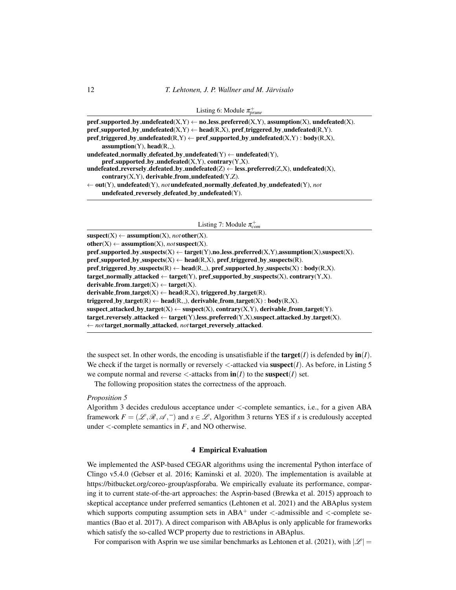<span id="page-11-0"></span>

| pref_supported_by_undefeated(X,Y) $\leftarrow$ no_less_preferred(X,Y), assumption(X), undefeated(X).                           |
|--------------------------------------------------------------------------------------------------------------------------------|
| pref_supported_by_undefeated(X,Y) $\leftarrow$ head(R,X), pref_triggered_by_undefeated(R,Y).                                   |
| $\mathbf{pref\_triggered\_by\_undefeated(R,Y)} \leftarrow \mathbf{pref\_supported\_by\_undefeated(X,Y)} : \mathbf{body}(R,X),$ |
| $\text{assumption}(Y)$ , head $(R, )$ .                                                                                        |
| undefeated_normally_defeated_by_undefeated(Y) $\leftarrow$ undefeated(Y),                                                      |
| pref_supported_by_undefeated $(X, Y)$ , contrary $(Y, X)$ .                                                                    |
| undefeated_reversely_defeated_by_undefeated $(Z) \leftarrow$ less_preferred $(Z, X)$ , undefeated $(X)$ ,                      |
| $contrary(X, Y)$ , derivable_from_undefeated(Y,Z).                                                                             |
| $\leftarrow$ out(Y), undefeated(Y), not undefeated_normally_defeated_by_undefeated(Y), not                                     |
| undefeated_reversely_defeated_by_undefeated(Y).                                                                                |

Listing 7: Module π<sup>+</sup><sub>com</sub>

<span id="page-11-1"></span> $suspect(X) \leftarrow assumption(X), not other(X).$  $other(X) \leftarrow assumption(X), not suspect(X).$ pref \_supported\_by\_suspects(X)  $\leftarrow$  target(Y),no less\_preferred(X,Y),assumption(X),suspect(X). pref\_supported\_by\_suspects(X)  $\leftarrow$  head(R,X), pref\_triggered\_by\_suspects(R). pref\_triggered\_by\_suspects(R)  $\leftarrow$  head(R,\_), pref\_supported\_by\_suspects(X) : body(R,X). target\_normally\_attacked  $\leftarrow$  target(Y), pref\_supported\_by\_suspects(X), contrary(Y,X). derivable\_from\_target $(X) \leftarrow$  target $(X)$ . derivable from target(X)  $\leftarrow$  head(R,X), triggered by target(R). triggered\_by\_target(R)  $\leftarrow$  head(R,\_), derivable\_from\_target(X) : body(R,X).  $suspect\_attacked_by\_target(X) \leftarrow suspect(X), contrary(X, Y), derivable\_from\_target(Y).$  $target\_reversely\_attacked \leftarrow target(Y), less\_preferred(Y, X), suspect\_attacked\_by\_target(X).$ ← *not*target normally attacked, *not*target reversely attacked.

the suspect set. In other words, the encoding is unsatisfiable if the **target**( $I$ ) is defended by  $\text{in}(I)$ . We check if the target is normally or reversely  $\lt$ -attacked via **suspect** $(I)$ . As before, in Listing [5](#page-9-0) we compute normal and reverse  $\lt$ -attacks from  $\text{in}(I)$  to the suspect $(I)$  set.

The following proposition states the correctness of the approach.

## *Proposition 5*

Algorithm [3](#page-10-0) decides credulous acceptance under <-complete semantics, i.e., for a given ABA framework  $F = (\mathcal{L}, \mathcal{R}, \mathcal{A}, \overline{\phantom{a}})$  and  $s \in \mathcal{L}$ , Algorithm [3](#page-10-0) returns YES if *s* is credulously accepted under  $\lt$ -complete semantics in *F*, and NO otherwise.

#### 4 Empirical Evaluation

We implemented the ASP-based CEGAR algorithms using the incremental Python interface of Clingo v5.4.0 [\(Gebser et al. 2016;](#page-15-22) [Kaminski et al. 2020\)](#page-15-15). The implementation is available at [https://bitbucket.org/coreo-group/aspforaba.](https://bitbucket.org/coreo-group/aspforaba) We empirically evaluate its performance, comparing it to current state-of-the-art approaches: the Asprin-based [\(Brewka et al. 2015\)](#page-14-6) approach to skeptical acceptance under preferred semantics [\(Lehtonen et al. 2021\)](#page-15-12) and the ABAplus system which supports computing assumption sets in  $ABA^+$  under  $\lt$ -admissible and  $\lt$ -complete semantics [\(Bao et al. 2017\)](#page-14-7). A direct comparison with ABAplus is only applicable for frameworks which satisfy the so-called WCP property due to restrictions in ABAplus.

For comparison with Asprin we use similar benchmarks as [Lehtonen et al. \(2021\)](#page-15-12), with  $|\mathscr{L}| =$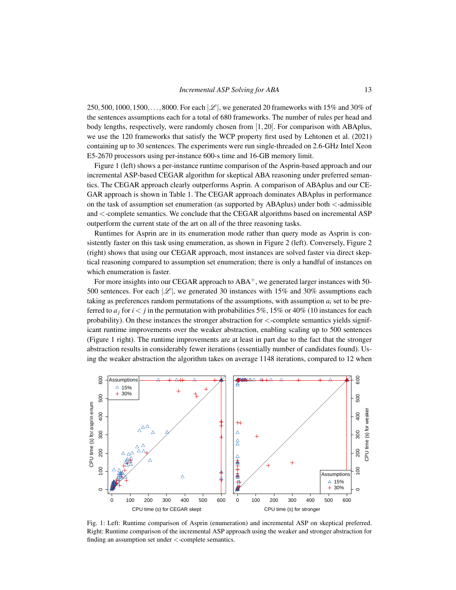250,500,1000,1500,...,8000. For each  $|\mathcal{L}|$ , we generated 20 frameworks with 15% and 30% of the sentences assumptions each for a total of 680 frameworks. The number of rules per head and body lengths, respectively, were randomly chosen from [1,20]. For comparison with ABAplus, we use the 120 frameworks that satisfy the WCP property first used by [Lehtonen et al. \(2021\)](#page-15-12) containing up to 30 sentences. The experiments were run single-threaded on 2.6-GHz Intel Xeon E5-2670 processors using per-instance 600-s time and 16-GB memory limit.

Figure [1](#page-12-0) (left) shows a per-instance runtime comparison of the Asprin-based approach and our incremental ASP-based CEGAR algorithm for skeptical ABA reasoning under preferred semantics. The CEGAR approach clearly outperforms Asprin. A comparison of ABAplus and our CE-GAR approach is shown in Table [1.](#page-14-10) The CEGAR approach dominates ABAplus in performance on the task of assumption set enumeration (as supported by ABAplus) under both  $\leq$ -admissible and <-complete semantics. We conclude that the CEGAR algorithms based on incremental ASP outperform the current state of the art on all of the three reasoning tasks.

Runtimes for Asprin are in its enumeration mode rather than query mode as Asprin is consistently faster on this task using enumeration, as shown in Figure [2](#page-13-0) (left). Conversely, Figure [2](#page-13-0) (right) shows that using our CEGAR approach, most instances are solved faster via direct skeptical reasoning compared to assumption set enumeration; there is only a handful of instances on which enumeration is faster.

For more insights into our CEGAR approach to  $ABA^+$ , we generated larger instances with 50-500 sentences. For each  $|\mathcal{L}|$ , we generated 30 instances with 15% and 30% assumptions each taking as preferences random permutations of the assumptions, with assumption *a<sup>i</sup>* set to be preferred to  $a_j$  for  $i < j$  in the permutation with probabilities 5%, 15% or 40% (10 instances for each probability). On these instances the stronger abstraction for <-complete semantics yields significant runtime improvements over the weaker abstraction, enabling scaling up to 500 sentences (Figure [1](#page-12-0) right). The runtime improvements are at least in part due to the fact that the stronger abstraction results in considerably fewer iterations (essentially number of candidates found). Using the weaker abstraction the algorithm takes on average 1148 iterations, compared to 12 when

<span id="page-12-0"></span>

Fig. 1: Left: Runtime comparison of Asprin (enumeration) and incremental ASP on skeptical preferred. Right: Runtime comparison of the incremental ASP approach using the weaker and stronger abstraction for finding an assumption set under <-complete semantics.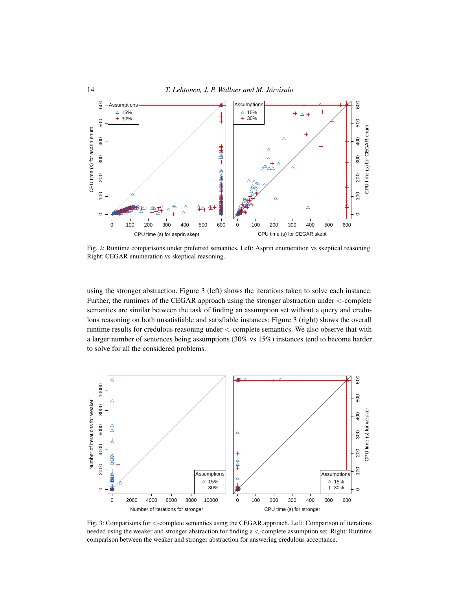<span id="page-13-0"></span>

Fig. 2: Runtime comparisons under preferred semantics. Left: Asprin enumeration vs skeptical reasoning. Right: CEGAR enumeration vs skeptical reasoning.

using the stronger abstraction. Figure [3](#page-13-1) (left) shows the iterations taken to solve each instance. Further, the runtimes of the CEGAR approach using the stronger abstraction under <-complete semantics are similar between the task of finding an assumption set without a query and credu-lous reasoning on both unsatisfiable and satisfiable instances; Figure [3](#page-13-1) (right) shows the overall runtime results for credulous reasoning under <-complete semantics. We also observe that with a larger number of sentences being assumptions (30% vs 15%) instances tend to become harder to solve for all the considered problems.

<span id="page-13-1"></span>

Fig. 3: Comparisons for <-complete semantics using the CEGAR approach. Left: Comparison of iterations needed using the weaker and stronger abstraction for finding a <-complete assumption set. Right: Runtime comparison between the weaker and stronger abstraction for answering credulous acceptance.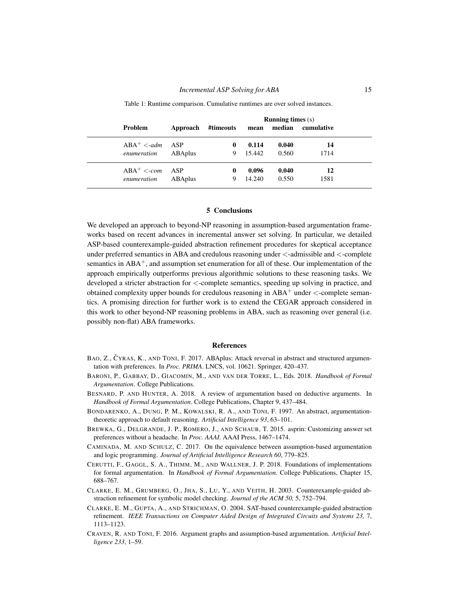<span id="page-14-10"></span>

|                                         |                | <b>Running times</b> (s) |               |                 |                |            |  |
|-----------------------------------------|----------------|--------------------------|---------------|-----------------|----------------|------------|--|
| Problem                                 | Approach       | #timeouts                |               |                 | mean median    | cumulative |  |
| $ABA^+ <$ -adm ASP<br>enumeration       | ABAplus        |                          | $\bf{0}$<br>9 | 0.114<br>15.442 | 0.040<br>0.560 | 14<br>1714 |  |
| $ABA^+ < \text{com}$ ASP<br>enumeration | <b>ABAplus</b> |                          | 0<br>9        | 0.096<br>14.240 | 0.040<br>0.550 | 12<br>1581 |  |

Table 1: Runtime comparison. Cumulative runtimes are over solved instances.

## 5 Conclusions

We developed an approach to beyond-NP reasoning in assumption-based argumentation frameworks based on recent advances in incremental answer set solving. In particular, we detailed ASP-based counterexample-guided abstraction refinement procedures for skeptical acceptance under preferred semantics in ABA and credulous reasoning under <-admissible and <-complete semantics in  $ABA^+$ , and assumption set enumeration for all of these. Our implementation of the approach empirically outperforms previous algorithmic solutions to these reasoning tasks. We developed a stricter abstraction for <-complete semantics, speeding up solving in practice, and obtained complexity upper bounds for credulous reasoning in  $ABA^+$  under  $\lt$ -complete semantics. A promising direction for further work is to extend the CEGAR approach considered in this work to other beyond-NP reasoning problems in ABA, such as reasoning over general (i.e. possibly non-flat) ABA frameworks.

#### **References**

- <span id="page-14-7"></span>BAO, Z., ČYRAS, K., AND TONI, F. 2017. ABAplus: Attack reversal in abstract and structured argumentation with preferences. In *Proc. PRIMA*. LNCS, vol. 10621. Springer, 420–437.
- <span id="page-14-0"></span>BARONI, P., GABBAY, D., GIACOMIN, M., AND VAN DER TORRE, L., Eds. 2018. *Handbook of Formal Argumentation*. College Publications.
- <span id="page-14-1"></span>BESNARD, P. AND HUNTER, A. 2018. A review of argumentation based on deductive arguments. In *Handbook of Formal Argumentation*. College Publications, Chapter 9, 437–484.
- <span id="page-14-8"></span>BONDARENKO, A., DUNG, P. M., KOWALSKI, R. A., AND TONI, F. 1997. An abstract, argumentationtheoretic approach to default reasoning. *Artificial Intelligence 93*, 63–101.
- <span id="page-14-6"></span>BREWKA, G., DELGRANDE, J. P., ROMERO, J., AND SCHAUB, T. 2015. asprin: Customizing answer set preferences without a headache. In *Proc. AAAI*. AAAI Press, 1467–1474.
- <span id="page-14-3"></span>CAMINADA, M. AND SCHULZ, C. 2017. On the equivalence between assumption-based argumentation and logic programming. *Journal of Artificial Intelligence Research 60*, 779–825.
- <span id="page-14-9"></span>CERUTTI, F., GAGGL, S. A., THIMM, M., AND WALLNER, J. P. 2018. Foundations of implementations for formal argumentation. In *Handbook of Formal Argumentation*. College Publications, Chapter 15, 688–767.
- <span id="page-14-4"></span>CLARKE, E. M., GRUMBERG, O., JHA, S., LU, Y., AND VEITH, H. 2003. Counterexample-guided abstraction refinement for symbolic model checking. *Journal of the ACM 50,* 5, 752–794.
- <span id="page-14-5"></span>CLARKE, E. M., GUPTA, A., AND STRICHMAN, O. 2004. SAT-based counterexample-guided abstraction refinement. *IEEE Transactions on Computer Aided Design of Integrated Circuits and Systems 23,* 7, 1113–1123.
- <span id="page-14-2"></span>CRAVEN, R. AND TONI, F. 2016. Argument graphs and assumption-based argumentation. *Artificial Intelligence 233*, 1–59.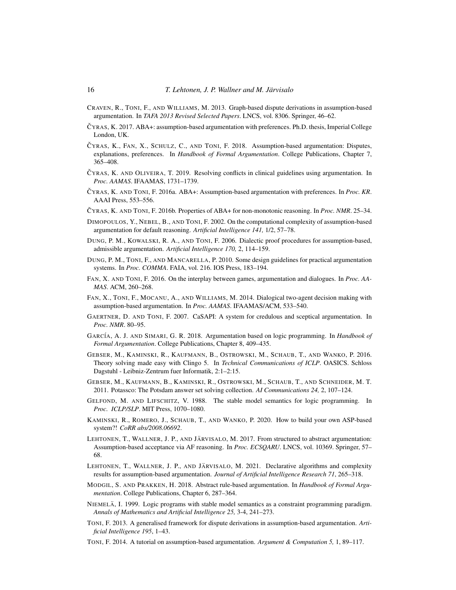- <span id="page-15-10"></span>CRAVEN, R., TONI, F., AND WILLIAMS, M. 2013. Graph-based dispute derivations in assumption-based argumentation. In *TAFA 2013 Revised Selected Papers*. LNCS, vol. 8306. Springer, 46–62.
- <span id="page-15-19"></span>Cˇ YRAS, K. 2017. ABA+: assumption-based argumentation with preferences. Ph.D. thesis, Imperial College London, UK.
- <span id="page-15-0"></span>CYRAS, K., FAN, X., SCHULZ, C., AND TONI, F. 2018. Assumption-based argumentation: Disputes, explanations, preferences. In *Handbook of Formal Argumentation*. College Publications, Chapter 7, 365–408.
- <span id="page-15-6"></span>CYRAS, K. AND OLIVEIRA, T. 2019. Resolving conflicts in clinical guidelines using argumentation. In *Proc. AAMAS*. IFAAMAS, 1731–1739.
- <span id="page-15-3"></span>Cˇ YRAS, K. AND TONI, F. 2016a. ABA+: Assumption-based argumentation with preferences. In *Proc. KR*. AAAI Press, 553–556.
- <span id="page-15-18"></span>Cˇ YRAS, K. AND TONI, F. 2016b. Properties of ABA+ for non-monotonic reasoning. In *Proc. NMR*. 25–34.
- <span id="page-15-20"></span>DIMOPOULOS, Y., NEBEL, B., AND TONI, F. 2002. On the computational complexity of assumption-based argumentation for default reasoning. *Artificial Intelligence 141,* 1/2, 57–78.
- <span id="page-15-7"></span>DUNG, P. M., KOWALSKI, R. A., AND TONI, F. 2006. Dialectic proof procedures for assumption-based, admissible argumentation. *Artificial Intelligence 170,* 2, 114–159.
- <span id="page-15-21"></span>DUNG, P. M., TONI, F., AND MANCARELLA, P. 2010. Some design guidelines for practical argumentation systems. In *Proc. COMMA*. FAIA, vol. 216. IOS Press, 183–194.
- <span id="page-15-5"></span>FAN, X. AND TONI, F. 2016. On the interplay between games, argumentation and dialogues. In *Proc. AA-MAS*. ACM, 260–268.
- <span id="page-15-4"></span>FAN, X., TONI, F., MOCANU, A., AND WILLIAMS, M. 2014. Dialogical two-agent decision making with assumption-based argumentation. In *Proc. AAMAS*. IFAAMAS/ACM, 533–540.
- <span id="page-15-8"></span>GAERTNER, D. AND TONI, F. 2007. CaSAPI: A system for credulous and sceptical argumentation. In *Proc. NMR*. 80–95.
- <span id="page-15-2"></span>GARCÍA, A. J. AND SIMARI, G. R. 2018. Argumentation based on logic programming. In *Handbook of Formal Argumentation*. College Publications, Chapter 8, 409–435.
- <span id="page-15-22"></span>GEBSER, M., KAMINSKI, R., KAUFMANN, B., OSTROWSKI, M., SCHAUB, T., AND WANKO, P. 2016. Theory solving made easy with Clingo 5. In *Technical Communications of ICLP*. OASICS. Schloss Dagstuhl - Leibniz-Zentrum fuer Informatik, 2:1–2:15.
- <span id="page-15-16"></span>GEBSER, M., KAUFMANN, B., KAMINSKI, R., OSTROWSKI, M., SCHAUB, T., AND SCHNEIDER, M. T. 2011. Potassco: The Potsdam answer set solving collection. *AI Communications 24,* 2, 107–124.
- <span id="page-15-13"></span>GELFOND, M. AND LIFSCHITZ, V. 1988. The stable model semantics for logic programming. In *Proc. ICLP/SLP*. MIT Press, 1070–1080.
- <span id="page-15-15"></span>KAMINSKI, R., ROMERO, J., SCHAUB, T., AND WANKO, P. 2020. How to build your own ASP-based system?! *CoRR abs/2008.06692*.
- <span id="page-15-11"></span>LEHTONEN, T., WALLNER, J. P., AND JÄRVISALO, M. 2017. From structured to abstract argumentation: Assumption-based acceptance via AF reasoning. In *Proc. ECSQARU*. LNCS, vol. 10369. Springer, 57– 68.
- <span id="page-15-12"></span>LEHTONEN, T., WALLNER, J. P., AND JÄRVISALO, M. 2021. Declarative algorithms and complexity results for assumption-based argumentation. *Journal of Artificial Intelligence Research 71*, 265–318.
- <span id="page-15-1"></span>MODGIL, S. AND PRAKKEN, H. 2018. Abstract rule-based argumentation. In *Handbook of Formal Argumentation*. College Publications, Chapter 6, 287–364.
- <span id="page-15-14"></span>NIEMELÄ, I. 1999. Logic programs with stable model semantics as a constraint programming paradigm. *Annals of Mathematics and Artificial Intelligence 25,* 3-4, 241–273.
- <span id="page-15-9"></span>TONI, F. 2013. A generalised framework for dispute derivations in assumption-based argumentation. *Artificial Intelligence 195*, 1–43.
- <span id="page-15-17"></span>TONI, F. 2014. A tutorial on assumption-based argumentation. *Argument & Computation 5,* 1, 89–117.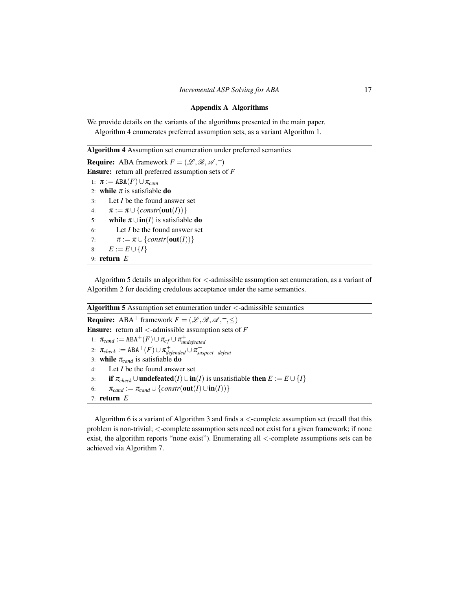#### Appendix A Algorithms

<span id="page-16-0"></span>We provide details on the variants of the algorithms presented in the main paper. Algorithm [4](#page-16-1) enumerates preferred assumption sets, as a variant Algorithm [1.](#page-4-0)

<span id="page-16-1"></span>

| <b>Algorithm 4</b> Assumption set enumeration under preferred semantics           |  |  |  |  |  |
|-----------------------------------------------------------------------------------|--|--|--|--|--|
| <b>Require:</b> ABA framework $F = (\mathcal{L}, \mathcal{R}, \mathcal{A}, \neg)$ |  |  |  |  |  |
| <b>Ensure:</b> return all preferred assumption sets of $F$                        |  |  |  |  |  |
| 1: $\pi := \text{ABA}(F) \cup \pi_{com}$                                          |  |  |  |  |  |
| 2: while $\pi$ is satisfiable do                                                  |  |  |  |  |  |
| Let I be the found answer set<br>3:                                               |  |  |  |  |  |
| $\pi := \pi \cup \{constr(\textbf{out}(I))\}$<br>4:                               |  |  |  |  |  |
| while $\pi \cup \text{in}(I)$ is satisfiable do<br>5:                             |  |  |  |  |  |
| Let I be the found answer set<br>6:                                               |  |  |  |  |  |
| $\pi := \pi \cup \{constr(\textbf{out}(I))\}$<br>7:                               |  |  |  |  |  |
| $E := E \cup \{I\}$<br>8:                                                         |  |  |  |  |  |
| 9: return $E$                                                                     |  |  |  |  |  |

Algorithm [5](#page-16-2) details an algorithm for  $\lt$ -admissible assumption set enumeration, as a variant of Algorithm [2](#page-8-0) for deciding credulous acceptance under the same semantics.

## <span id="page-16-2"></span>Algorithm 5 Assumption set enumeration under <-admissible semantics

**Require:** ABA<sup>+</sup> framework  $F = (\mathcal{L}, \mathcal{R}, \mathcal{A}, ^-, \leq)$ Ensure: return all <-admissible assumption sets of *F* 1:  $\pi_{cand} := \text{ABA}^+(F) \cup \pi_{cf} \cup \pi_{undefeated}^+$ 2:  $\pi_{check} := \text{ABA}^+(F) \cup \pi_{defended}^+ \cup \pi_{suspect-defed}^+$ 3: while  $\pi_{cand}$  is satisfiable do 4: Let *I* be the found answer set 5: if  $\pi_{check} \cup \text{undefined}(I) \cup \text{in}(I)$  is unsatisfiable then  $E := E \cup \{I\}$ 6:  $\pi_{cand} := \pi_{cand} \cup \{constr(\text{out}(I) \cup \text{in}(I))\}$ 7: return *E*

Algorithm [6](#page-17-0) is a variant of Algorithm [3](#page-10-0) and finds a <-complete assumption set (recall that this problem is non-trivial; <-complete assumption sets need not exist for a given framework; if none exist, the algorithm reports "none exist"). Enumerating all <-complete assumptions sets can be achieved via Algorithm [7.](#page-17-1)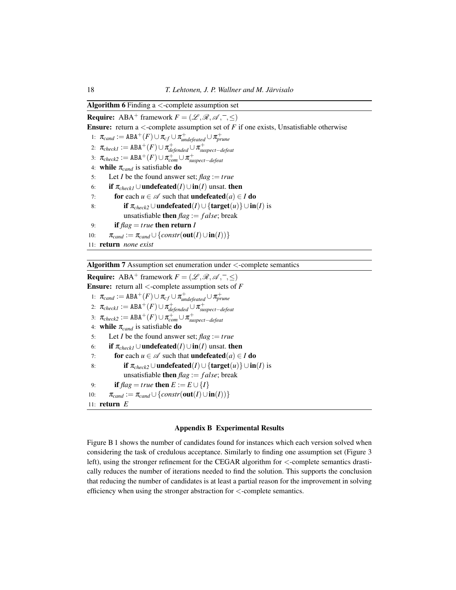## <span id="page-17-0"></span>Algorithm 6 Finding  $a <$ -complete assumption set

**Require:** ABA<sup>+</sup> framework  $F = (\mathcal{L}, \mathcal{R}, \mathcal{A}, -, <)$ **Ensure:** return a  $\lt$ -complete assumption set of  $F$  if one exists, Unsatisfiable otherwise 1:  $\pi_{cand} := \text{ABA}^+(F) \cup \pi_{cf} \cup \pi_{undefined}^+ \cup \pi_{prune}^+$ 2:  $\pi_{checkl} := \text{ABA}^+(F) \cup \pi_{defineded}^+ \cup \pi_{suspect-defeat}^+$ 3:  $\pi_{check2} := \text{ABA}^+(F) \cup \pi_{com}^+ \cup \pi_{suspect-defeat}^+$ 4: **while**  $\pi_{cand}$  is satisfiable **do** 5: Let *I* be the found answer set;  $\text{flag} := \text{true}$ 6: **if**  $\pi_{check}$  ∪**undefeated**(*I*)∪**in**(*I*) unsat. then 7: **for** each  $u \in \mathcal{A}$  such that **undefeated** $(a) \in I$  **do** 8: **if**  $\pi_{check2} \cup \text{undefeated}(I) \cup \{\text{target}(u)\} \cup \text{in}(I)$  is unsatisfiable then *flag* := *f alse*; break 9: **if**  $flag = true$  **then return** *I* 10:  $\pi_{cand} := \pi_{cand} \cup \{constr(\textbf{out}(I) \cup \textbf{in}(I))\}$ 11: return *none exist*

<span id="page-17-1"></span>Algorithm 7 Assumption set enumeration under <-complete semantics

**Require:** ABA<sup>+</sup> framework  $F = (\mathcal{L}, \mathcal{R}, \mathcal{A}, -, <)$ Ensure: return all <-complete assumption sets of *F* 1:  $\pi_{cand} := \text{ABA}^+(F) \cup \pi_{cf} \cup \pi_{undefined}^+ \cup \pi_{prune}^+$ 2:  $\pi_{checkl} := \text{ABA}^+(F) \cup \pi_{defineded}^+ \cup \pi_{suspect-defeat}^+$ 3:  $\pi_{check2} := \text{ABA}^+(F) \cup \pi_{com}^+ \cup \pi_{suspect-defeat}^+$ 4: while  $\pi_{cand}$  is satisfiable do 5: Let *I* be the found answer set;  $flag := true$ 6: **if**  $\pi_{check} \cup$ **undefeated**(*I*)∪**in**(*I*) unsat. then 7: **for** each  $u \in \mathcal{A}$  such that **undefeated**(*a*)  $\in I$  **do** 8: **if**  $π<sub>check2</sub> ∪$ **undefeated**(*I*)∪{**target**(*u*)} ∪ **in**(*I*) is unsatisfiable **then**  $\text{flag} := \text{false}$ ; break 9: **if**  $flag = true$  then  $E := E \cup \{I\}$ 10:  $\pi_{cand} := \pi_{cand} \cup \{constr(\textbf{out}(I) \cup \textbf{in}(I))\}$ 11: return *E*

#### Appendix B Experimental Results

Figure [B 1](#page-18-0) shows the number of candidates found for instances which each version solved when considering the task of credulous acceptance. Similarly to finding one assumption set (Figure [3](#page-13-1) left), using the stronger refinement for the CEGAR algorithm for <-complete semantics drastically reduces the number of iterations needed to find the solution. This supports the conclusion that reducing the number of candidates is at least a partial reason for the improvement in solving efficiency when using the stronger abstraction for <-complete semantics.